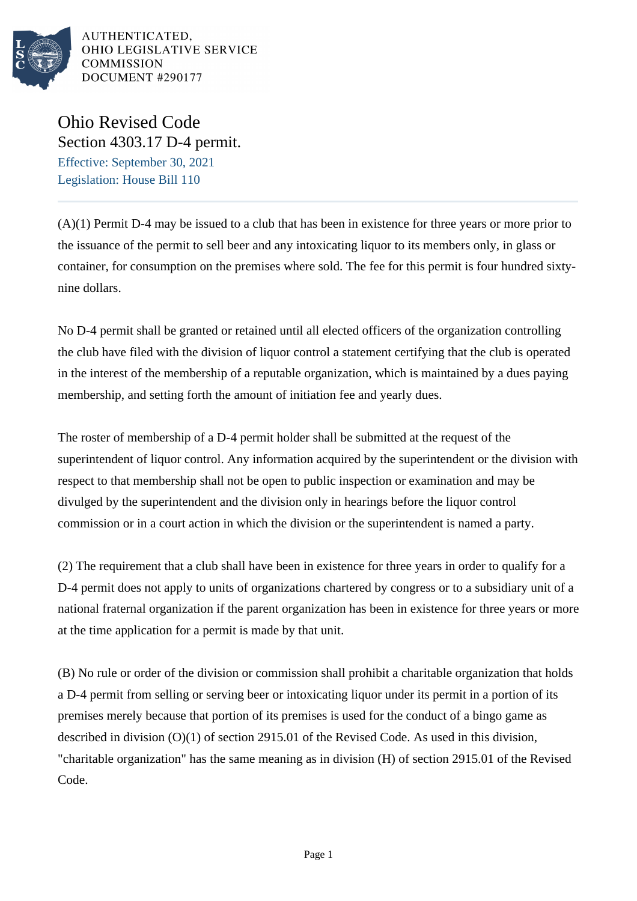

AUTHENTICATED. OHIO LEGISLATIVE SERVICE **COMMISSION** DOCUMENT #290177

## Ohio Revised Code Section 4303.17 D-4 permit.

Effective: September 30, 2021 Legislation: House Bill 110

(A)(1) Permit D-4 may be issued to a club that has been in existence for three years or more prior to the issuance of the permit to sell beer and any intoxicating liquor to its members only, in glass or container, for consumption on the premises where sold. The fee for this permit is four hundred sixtynine dollars.

No D-4 permit shall be granted or retained until all elected officers of the organization controlling the club have filed with the division of liquor control a statement certifying that the club is operated in the interest of the membership of a reputable organization, which is maintained by a dues paying membership, and setting forth the amount of initiation fee and yearly dues.

The roster of membership of a D-4 permit holder shall be submitted at the request of the superintendent of liquor control. Any information acquired by the superintendent or the division with respect to that membership shall not be open to public inspection or examination and may be divulged by the superintendent and the division only in hearings before the liquor control commission or in a court action in which the division or the superintendent is named a party.

(2) The requirement that a club shall have been in existence for three years in order to qualify for a D-4 permit does not apply to units of organizations chartered by congress or to a subsidiary unit of a national fraternal organization if the parent organization has been in existence for three years or more at the time application for a permit is made by that unit.

(B) No rule or order of the division or commission shall prohibit a charitable organization that holds a D-4 permit from selling or serving beer or intoxicating liquor under its permit in a portion of its premises merely because that portion of its premises is used for the conduct of a bingo game as described in division (O)(1) of section 2915.01 of the Revised Code. As used in this division, "charitable organization" has the same meaning as in division (H) of section 2915.01 of the Revised Code.